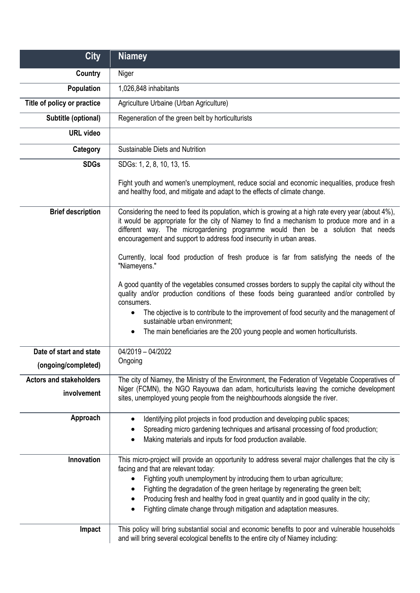| <b>City</b>                                    | <b>Niamey</b>                                                                                                                                                                                                                                                                                                                                                                                                                                                                                      |
|------------------------------------------------|----------------------------------------------------------------------------------------------------------------------------------------------------------------------------------------------------------------------------------------------------------------------------------------------------------------------------------------------------------------------------------------------------------------------------------------------------------------------------------------------------|
| Country                                        | Niger                                                                                                                                                                                                                                                                                                                                                                                                                                                                                              |
| <b>Population</b>                              | 1,026,848 inhabitants                                                                                                                                                                                                                                                                                                                                                                                                                                                                              |
| Title of policy or practice                    | Agriculture Urbaine (Urban Agriculture)                                                                                                                                                                                                                                                                                                                                                                                                                                                            |
| Subtitle (optional)                            | Regeneration of the green belt by horticulturists                                                                                                                                                                                                                                                                                                                                                                                                                                                  |
| <b>URL</b> video                               |                                                                                                                                                                                                                                                                                                                                                                                                                                                                                                    |
| Category                                       | Sustainable Diets and Nutrition                                                                                                                                                                                                                                                                                                                                                                                                                                                                    |
| <b>SDGs</b>                                    | SDGs: 1, 2, 8, 10, 13, 15.                                                                                                                                                                                                                                                                                                                                                                                                                                                                         |
|                                                | Fight youth and women's unemployment, reduce social and economic inequalities, produce fresh<br>and healthy food, and mitigate and adapt to the effects of climate change.                                                                                                                                                                                                                                                                                                                         |
| <b>Brief description</b>                       | Considering the need to feed its population, which is growing at a high rate every year (about 4%),<br>it would be appropriate for the city of Niamey to find a mechanism to produce more and in a<br>different way. The microgardening programme would then be a solution that needs<br>encouragement and support to address food insecurity in urban areas.                                                                                                                                      |
|                                                | Currently, local food production of fresh produce is far from satisfying the needs of the<br>"Niameyens."                                                                                                                                                                                                                                                                                                                                                                                          |
|                                                | A good quantity of the vegetables consumed crosses borders to supply the capital city without the<br>quality and/or production conditions of these foods being guaranteed and/or controlled by<br>consumers.<br>The objective is to contribute to the improvement of food security and the management of<br>$\bullet$<br>sustainable urban environment;<br>The main beneficiaries are the 200 young people and women horticulturists.<br>$\bullet$                                                 |
| Date of start and state<br>(ongoing/completed) | 04/2019 - 04/2022<br>Ongoing                                                                                                                                                                                                                                                                                                                                                                                                                                                                       |
| <b>Actors and stakeholders</b>                 | The city of Niamey, the Ministry of the Environment, the Federation of Vegetable Cooperatives of                                                                                                                                                                                                                                                                                                                                                                                                   |
| involvement                                    | Niger (FCMN), the NGO Rayouwa dan adam, horticulturists leaving the corniche development<br>sites, unemployed young people from the neighbourhoods alongside the river.                                                                                                                                                                                                                                                                                                                            |
| Approach                                       | Identifying pilot projects in food production and developing public spaces;<br>$\bullet$<br>Spreading micro gardening techniques and artisanal processing of food production;<br>Making materials and inputs for food production available.<br>$\bullet$                                                                                                                                                                                                                                           |
| Innovation                                     | This micro-project will provide an opportunity to address several major challenges that the city is<br>facing and that are relevant today:<br>Fighting youth unemployment by introducing them to urban agriculture;<br>$\bullet$<br>Fighting the degradation of the green heritage by regenerating the green belt;<br>٠<br>Producing fresh and healthy food in great quantity and in good quality in the city;<br>$\bullet$<br>Fighting climate change through mitigation and adaptation measures. |
| Impact                                         | This policy will bring substantial social and economic benefits to poor and vulnerable households<br>and will bring several ecological benefits to the entire city of Niamey including:                                                                                                                                                                                                                                                                                                            |